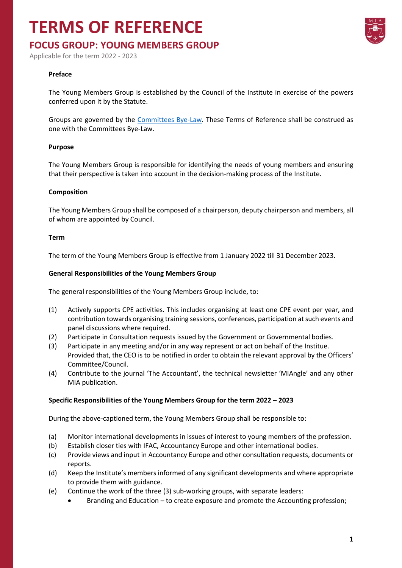## **TERMS OF REFERENCE**

### **FOCUS GROUP: YOUNG MEMBERS GROUP**

Applicable for the term 2022 - 2023

#### **Preface**

The Young Members Group is established by the Council of the Institute in exercise of the powers conferred upon it by the Statute.

Groups are governed by the [Committees Bye-Law.](https://www.miamalta.org/Statute-and-Bye-Laws) These Terms of Reference shall be construed as one with the Committees Bye-Law.

#### **Purpose**

The Young Members Group is responsible for identifying the needs of young members and ensuring that their perspective is taken into account in the decision-making process of the Institute.

#### **Composition**

The Young Members Group shall be composed of a chairperson, deputy chairperson and members, all of whom are appointed by Council.

#### **Term**

The term of the Young Members Group is effective from 1 January 2022 till 31 December 2023.

#### **General Responsibilities of the Young Members Group**

The general responsibilities of the Young Members Group include, to:

- (1) Actively supports CPE activities. This includes organising at least one CPE event per year, and contribution towards organising training sessions, conferences, participation at such events and panel discussions where required.
- (2) Participate in Consultation requests issued by the Government or Governmental bodies.
- (3) Participate in any meeting and/or in any way represent or act on behalf of the Institue. Provided that, the CEO is to be notified in order to obtain the relevant approval by the Officers' Committee/Council.
- (4) Contribute to the journal 'The Accountant', the technical newsletter 'MIAngle' and any other MIA publication.

#### **Specific Responsibilities of the Young Members Group for the term 2022 – 2023**

During the above-captioned term, the Young Members Group shall be responsible to:

- (a) Monitor international developments in issues of interest to young members of the profession.
- (b) Establish closer ties with IFAC, Accountancy Europe and other international bodies.
- (c) Provide views and input in Accountancy Europe and other consultation requests, documents or reports.
- (d) Keep the Institute's members informed of any significant developments and where appropriate to provide them with guidance.
- (e) Continue the work of the three (3) sub-working groups, with separate leaders:
	- Branding and Education to create exposure and promote the Accounting profession;